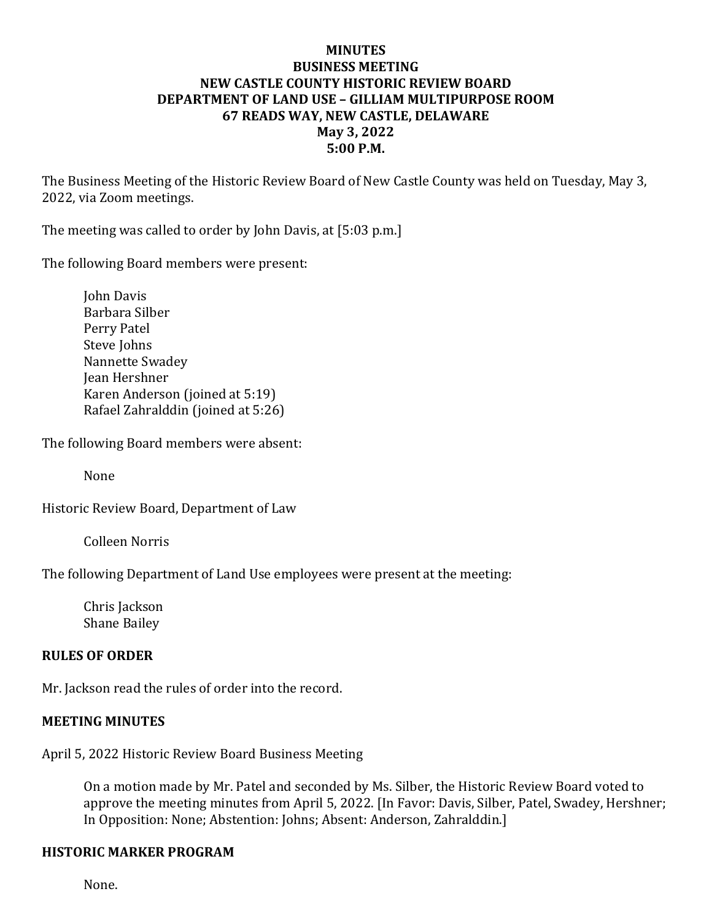### **MINUTES BUSINESS MEETING NEW CASTLE COUNTY HISTORIC REVIEW BOARD DEPARTMENT OF LAND USE – GILLIAM MULTIPURPOSE ROOM 67 READS WAY, NEW CASTLE, DELAWARE May 3, 2022 5:00 P.M.**

The Business Meeting of the Historic Review Board of New Castle County was held on Tuesday, May 3, 2022, via Zoom meetings.

The meeting was called to order by John Davis, at [5:03 p.m.]

The following Board members were present:

John Davis Barbara Silber Perry Patel Steve Johns Nannette Swadey Jean Hershner Karen Anderson (joined at 5:19) Rafael Zahralddin (joined at 5:26)

The following Board members were absent:

None

Historic Review Board, Department of Law

Colleen Norris

The following Department of Land Use employees were present at the meeting:

Chris Jackson Shane Bailey

#### **RULES OF ORDER**

Mr. Jackson read the rules of order into the record.

#### **MEETING MINUTES**

April 5, 2022 Historic Review Board Business Meeting

On a motion made by Mr. Patel and seconded by Ms. Silber, the Historic Review Board voted to approve the meeting minutes from April 5, 2022. [In Favor: Davis, Silber, Patel, Swadey, Hershner; In Opposition: None; Abstention: Johns; Absent: Anderson, Zahralddin.]

#### **HISTORIC MARKER PROGRAM**

None.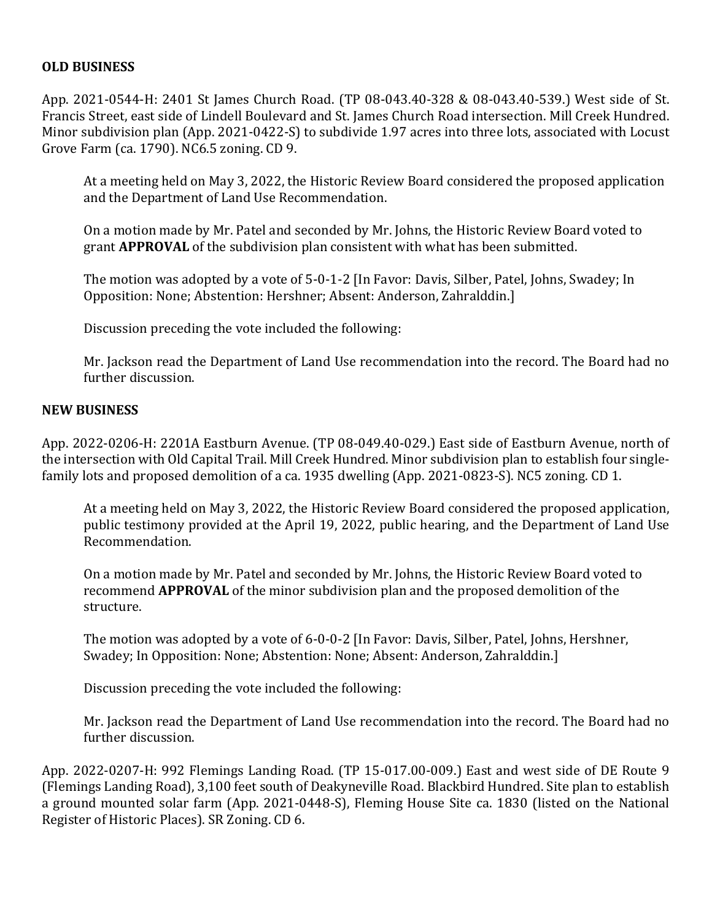### **OLD BUSINESS**

App. 2021-0544-H: 2401 St James Church Road. (TP 08-043.40-328 & 08-043.40-539.) West side of St. Francis Street, east side of Lindell Boulevard and St. James Church Road intersection. Mill Creek Hundred. Minor subdivision plan (App. 2021-0422-S) to subdivide 1.97 acres into three lots, associated with Locust Grove Farm (ca. 1790). NC6.5 zoning. CD 9.

At a meeting held on May 3, 2022, the Historic Review Board considered the proposed application and the Department of Land Use Recommendation.

On a motion made by Mr. Patel and seconded by Mr. Johns, the Historic Review Board voted to grant **APPROVAL** of the subdivision plan consistent with what has been submitted.

The motion was adopted by a vote of 5-0-1-2 [In Favor: Davis, Silber, Patel, Johns, Swadey; In Opposition: None; Abstention: Hershner; Absent: Anderson, Zahralddin.]

Discussion preceding the vote included the following:

Mr. Jackson read the Department of Land Use recommendation into the record. The Board had no further discussion.

#### **NEW BUSINESS**

App. 2022-0206-H: 2201A Eastburn Avenue. (TP 08-049.40-029.) East side of Eastburn Avenue, north of the intersection with Old Capital Trail. Mill Creek Hundred. Minor subdivision plan to establish four singlefamily lots and proposed demolition of a ca. 1935 dwelling (App. 2021-0823-S). NC5 zoning. CD 1.

At a meeting held on May 3, 2022, the Historic Review Board considered the proposed application, public testimony provided at the April 19, 2022, public hearing, and the Department of Land Use Recommendation.

On a motion made by Mr. Patel and seconded by Mr. Johns, the Historic Review Board voted to recommend **APPROVAL** of the minor subdivision plan and the proposed demolition of the structure.

The motion was adopted by a vote of 6-0-0-2 [In Favor: Davis, Silber, Patel, Johns, Hershner, Swadey; In Opposition: None; Abstention: None; Absent: Anderson, Zahralddin.]

Discussion preceding the vote included the following:

Mr. Jackson read the Department of Land Use recommendation into the record. The Board had no further discussion.

App. 2022-0207-H: 992 Flemings Landing Road. (TP 15-017.00-009.) East and west side of DE Route 9 (Flemings Landing Road), 3,100 feet south of Deakyneville Road. Blackbird Hundred. Site plan to establish a ground mounted solar farm (App. 2021-0448-S), Fleming House Site ca. 1830 (listed on the National Register of Historic Places). SR Zoning. CD 6.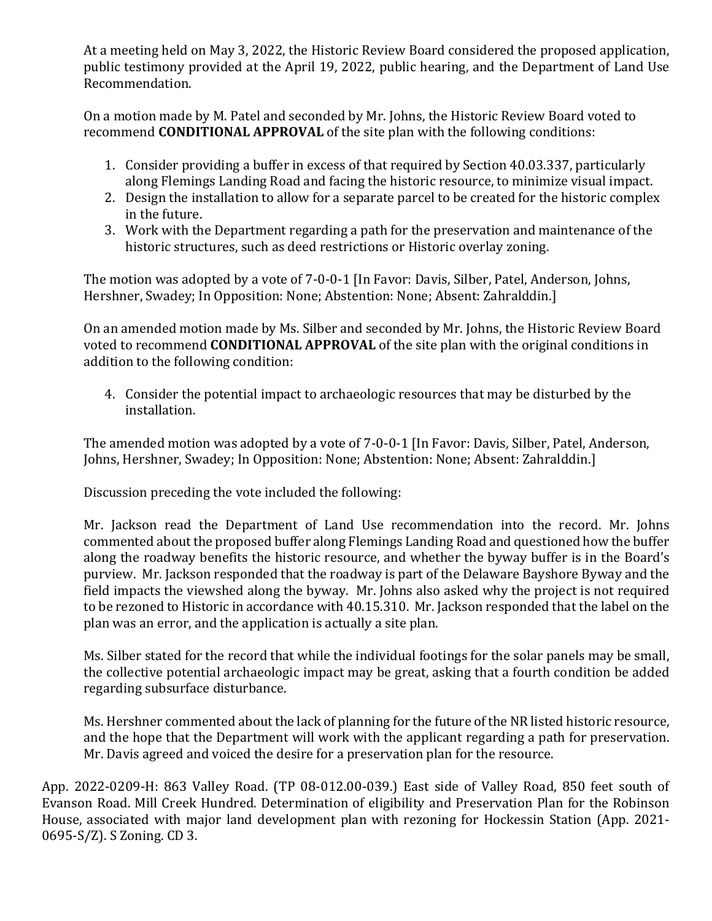At a meeting held on May 3, 2022, the Historic Review Board considered the proposed application, public testimony provided at the April 19, 2022, public hearing, and the Department of Land Use Recommendation.

On a motion made by M. Patel and seconded by Mr. Johns, the Historic Review Board voted to recommend **CONDITIONAL APPROVAL** of the site plan with the following conditions:

- 1. Consider providing a buffer in excess of that required by Section 40.03.337, particularly along Flemings Landing Road and facing the historic resource, to minimize visual impact.
- 2. Design the installation to allow for a separate parcel to be created for the historic complex in the future.
- 3. Work with the Department regarding a path for the preservation and maintenance of the historic structures, such as deed restrictions or Historic overlay zoning.

The motion was adopted by a vote of 7-0-0-1 [In Favor: Davis, Silber, Patel, Anderson, Johns, Hershner, Swadey; In Opposition: None; Abstention: None; Absent: Zahralddin.]

On an amended motion made by Ms. Silber and seconded by Mr. Johns, the Historic Review Board voted to recommend **CONDITIONAL APPROVAL** of the site plan with the original conditions in addition to the following condition:

4. Consider the potential impact to archaeologic resources that may be disturbed by the installation.

The amended motion was adopted by a vote of 7-0-0-1 [In Favor: Davis, Silber, Patel, Anderson, Johns, Hershner, Swadey; In Opposition: None; Abstention: None; Absent: Zahralddin.]

Discussion preceding the vote included the following:

Mr. Jackson read the Department of Land Use recommendation into the record. Mr. Johns commented about the proposed buffer along Flemings Landing Road and questioned how the buffer along the roadway benefits the historic resource, and whether the byway buffer is in the Board's purview. Mr. Jackson responded that the roadway is part of the Delaware Bayshore Byway and the field impacts the viewshed along the byway. Mr. Johns also asked why the project is not required to be rezoned to Historic in accordance with 40.15.310. Mr. Jackson responded that the label on the plan was an error, and the application is actually a site plan.

Ms. Silber stated for the record that while the individual footings for the solar panels may be small, the collective potential archaeologic impact may be great, asking that a fourth condition be added regarding subsurface disturbance.

Ms. Hershner commented about the lack of planning for the future of the NR listed historic resource, and the hope that the Department will work with the applicant regarding a path for preservation. Mr. Davis agreed and voiced the desire for a preservation plan for the resource.

App. 2022-0209-H: 863 Valley Road. (TP 08-012.00-039.) East side of Valley Road, 850 feet south of Evanson Road. Mill Creek Hundred. Determination of eligibility and Preservation Plan for the Robinson House, associated with major land development plan with rezoning for Hockessin Station (App. 2021- 0695-S/Z). S Zoning. CD 3.